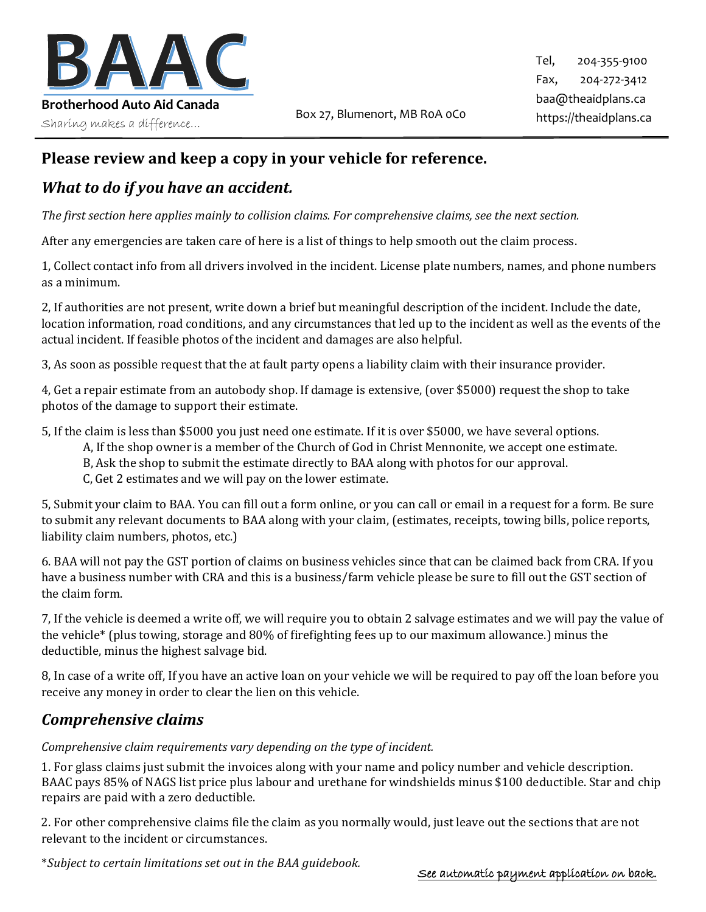

# **Please review and keep a copy in your vehicle for reference.**

## *What to do if you have an accident.*

*The first section here applies mainly to collision claims. For comprehensive claims, see the next section.*

After any emergencies are taken care of here is a list of things to help smooth out the claim process.

1, Collect contact info from all drivers involved in the incident. License plate numbers, names, and phone numbers as a minimum.

2, If authorities are not present, write down a brief but meaningful description of the incident. Include the date, location information, road conditions, and any circumstances that led up to the incident as well as the events of the actual incident. If feasible photos of the incident and damages are also helpful.

3, As soon as possible request that the at fault party opens a liability claim with their insurance provider.

4, Get a repair estimate from an autobody shop. If damage is extensive, (over \$5000) request the shop to take photos of the damage to support their estimate.

5, If the claim is less than \$5000 you just need one estimate. If it is over \$5000, we have several options.

- A, If the shop owner is a member of the Church of God in Christ Mennonite, we accept one estimate.
- B, Ask the shop to submit the estimate directly to BAA along with photos for our approval.
- C, Get 2 estimates and we will pay on the lower estimate.

5, Submit your claim to BAA. You can fill out a form online, or you can call or email in a request for a form. Be sure to submit any relevant documents to BAA along with your claim, (estimates, receipts, towing bills, police reports, liability claim numbers, photos, etc.)

6. BAA will not pay the GST portion of claims on business vehicles since that can be claimed back from CRA. If you have a business number with CRA and this is a business/farm vehicle please be sure to fill out the GST section of the claim form.

7, If the vehicle is deemed a write off, we will require you to obtain 2 salvage estimates and we will pay the value of the vehicle\* (plus towing, storage and 80% of firefighting fees up to our maximum allowance.) minus the deductible, minus the highest salvage bid.

8, In case of a write off, If you have an active loan on your vehicle we will be required to pay off the loan before you receive any money in order to clear the lien on this vehicle.

### *Comprehensive claims*

#### *Comprehensive claim requirements vary depending on the type of incident.*

1. For glass claims just submit the invoices along with your name and policy number and vehicle description. BAAC pays 85% of NAGS list price plus labour and urethane for windshields minus \$100 deductible. Star and chip repairs are paid with a zero deductible.

2. For other comprehensive claims file the claim as you normally would, just leave out the sections that are not relevant to the incident or circumstances.

\**Subject to certain limitations set out in the BAA guidebook.*

#### See automatic payment application on back.